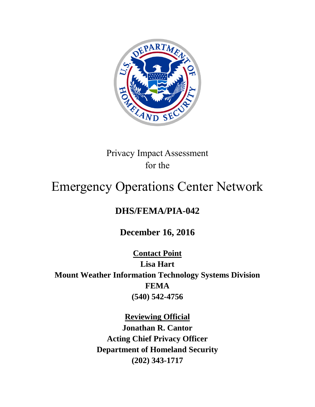

## Privacy Impact Assessment for the

# Emergency Operations Center Network

# **DHS/FEMA/PIA-042**

**December 16, 2016**

**Contact Point Lisa Hart Mount Weather Information Technology Systems Division FEMA (540) 542-4756**

> **Reviewing Official Jonathan R. Cantor**

**Acting Chief Privacy Officer Department of Homeland Security (202) 343-1717**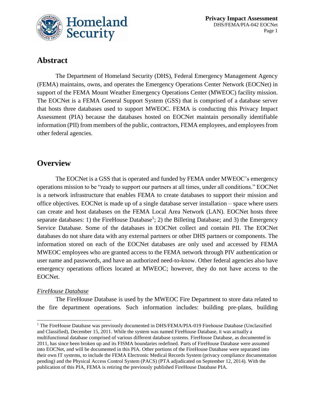

### **Abstract**

The Department of Homeland Security (DHS), Federal Emergency Management Agency (FEMA) maintains, owns, and operates the Emergency Operations Center Network (EOCNet) in support of the FEMA Mount Weather Emergency Operations Center (MWEOC) facility mission. The EOCNet is a FEMA General Support System (GSS) that is comprised of a database server that hosts three databases used to support MWEOC. FEMA is conducting this Privacy Impact Assessment (PIA) because the databases hosted on EOCNet maintain personally identifiable information (PII) from members of the public, contractors, FEMA employees, and employees from other federal agencies.

### **Overview**

The EOCNet is a GSS that is operated and funded by FEMA under MWEOC's emergency operations mission to be "ready to support our partners at all times, under all conditions." EOCNet is a network infrastructure that enables FEMA to create databases to support their mission and office objectives. EOCNet is made up of a single database server installation – space where users can create and host databases on the FEMA Local Area Network (LAN). EOCNet hosts three separate databases: 1) the FireHouse Database<sup>1</sup>; 2) the Billeting Database; and 3) the Emergency Service Database. Some of the databases in EOCNet collect and contain PII. The EOCNet databases do not share data with any external partners or other DHS partners or components. The information stored on each of the EOCNet databases are only used and accessed by FEMA MWEOC employees who are granted access to the FEMA network through PIV authentication or user name and passwords, and have an authorized need-to-know. Other federal agencies also have emergency operations offices located at MWEOC; however, they do not have access to the EOCNet.

#### *FireHouse Database*

The FireHouse Database is used by the MWEOC Fire Department to store data related to the fire department operations. Such information includes: building pre-plans, building

 $\overline{a}$ <sup>1</sup> The FireHouse Database was previously documented in DHS/FEMA/PIA-019 Firehouse Database (Unclassified and Classified), December 15, 2011. While the system was named FireHouse Database, it was actually a multifunctional database comprised of various different database systems. FireHouse Database, as documented in 2011, has since been broken up and its FISMA boundaries redefined. Parts of FireHouse Database were assumed into EOCNet, and will be documented in this PIA. Other portions of the FireHouse Database were separated into their own IT systems, to include the FEMA Electronic Medical Records System (privacy compliance documentation pending) and the Physical Access Control System (PACS) (PTA adjudicated on September 12, 2014). With the publication of this PIA, FEMA is retiring the previously published FireHouse Database PIA.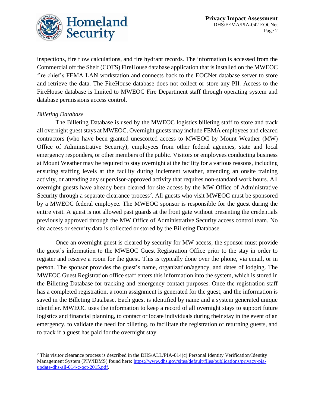

inspections, fire flow calculations, and fire hydrant records. The information is accessed from the Commercial off the Shelf (COTS) FireHouse database application that is installed on the MWEOC fire chief's FEMA LAN workstation and connects back to the EOCNet database server to store and retrieve the data. The FireHouse database does not collect or store any PII. Access to the FireHouse database is limited to MWEOC Fire Department staff through operating system and database permissions access control.

#### *Billeting Database*

l

The Billeting Database is used by the MWEOC logistics billeting staff to store and track all overnight guest stays at MWEOC. Overnight guests may include FEMA employees and cleared contractors (who have been granted unescorted access to MWEOC by Mount Weather (MW) Office of Administrative Security), employees from other federal agencies, state and local emergency responders, or other members of the public. Visitors or employees conducting business at Mount Weather may be required to stay overnight at the facility for a various reasons, including ensuring staffing levels at the facility during inclement weather, attending an onsite training activity, or attending any supervisor-approved activity that requires non-standard work hours. All overnight guests have already been cleared for site access by the MW Office of Administrative Security through a separate clearance process<sup>2</sup>. All guests who visit MWEOC must be sponsored by a MWEOC federal employee. The MWEOC sponsor is responsible for the guest during the entire visit. A guest is not allowed past guards at the front gate without presenting the credentials previously approved through the MW Office of Administrative Security access control team. No site access or security data is collected or stored by the Billeting Database.

Once an overnight guest is cleared by security for MW access, the sponsor must provide the guest's information to the MWEOC Guest Registration Office prior to the stay in order to register and reserve a room for the guest. This is typically done over the phone, via email, or in person. The sponsor provides the guest's name, organization/agency, and dates of lodging. The MWEOC Guest Registration office staff enters this information into the system, which is stored in the Billeting Database for tracking and emergency contact purposes. Once the registration staff has a completed registration, a room assignment is generated for the guest, and the information is saved in the Billeting Database. Each guest is identified by name and a system generated unique identifier. MWEOC uses the information to keep a record of all overnight stays to support future logistics and financial planning, to contact or locate individuals during their stay in the event of an emergency, to validate the need for billeting, to facilitate the registration of returning guests, and to track if a guest has paid for the overnight stay.

<sup>2</sup> This visitor clearance process is described in the DHS/ALL/PIA-014(c) Personal Identity Verification/Identity Management System (PIV/IDMS) found here: [https://www.dhs.gov/sites/default/files/publications/privacy-pia](https://www.dhs.gov/sites/default/files/publications/privacy-pia-update-dhs-all-014-c-oct-2015.pdf)[update-dhs-all-014-c-oct-2015.pdf.](https://www.dhs.gov/sites/default/files/publications/privacy-pia-update-dhs-all-014-c-oct-2015.pdf)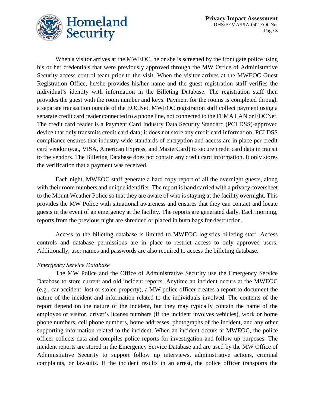

When a visitor arrives at the MWEOC, he or she is screened by the front gate police using his or her credentials that were previously approved through the MW Office of Administrative Security access control team prior to the visit. When the visitor arrives at the MWEOC Guest Registration Office, he/she provides his/her name and the guest registration staff verifies the individual's identity with information in the Billeting Database. The registration staff then provides the guest with the room number and keys. Payment for the rooms is completed through a separate transaction outside of the EOCNet. MWEOC registration staff collect payment using a separate credit card reader connected to a phone line, not connected to the FEMA LAN or EOCNet. The credit card reader is a Payment Card Industry Data Security Standard (PCI DSS)-approved device that only transmits credit card data; it does not store any credit card information. PCI DSS compliance ensures that industry wide standards of encryption and access are in place per credit card vendor (e.g., VISA, American Express, and MasterCard) to secure credit card data in transit to the vendors. The Billeting Database does not contain any credit card information. It only stores the verification that a payment was received.

Each night, MWEOC staff generate a hard copy report of all the overnight guests, along with their room numbers and unique identifier. The report is hand carried with a privacy coversheet to the Mount Weather Police so that they are aware of who is staying at the facility overnight. This provides the MW Police with situational awareness and ensures that they can contact and locate guests in the event of an emergency at the facility. The reports are generated daily. Each morning, reports from the previous night are shredded or placed in burn bags for destruction.

Access to the billeting database is limited to MWEOC logistics billeting staff. Access controls and database permissions are in place to restrict access to only approved users. Additionally, user names and passwords are also required to access the billeting database.

#### *Emergency Service Database*

The MW Police and the Office of Administrative Security use the Emergency Service Database to store current and old incident reports. Anytime an incident occurs at the MWEOC (e.g., car accident, lost or stolen property), a MW police officer creates a report to document the nature of the incident and information related to the individuals involved. The contents of the report depend on the nature of the incident, but they may typically contain the name of the employee or visitor, driver's license numbers (if the incident involves vehicles), work or home phone numbers, cell phone numbers, home addresses, photographs of the incident, and any other supporting information related to the incident. When an incident occurs at MWEOC, the police officer collects data and compiles police reports for investigation and follow up purposes. The incident reports are stored in the Emergency Service Database and are used by the MW Office of Administrative Security to support follow up interviews, administrative actions, criminal complaints, or lawsuits. If the incident results in an arrest, the police officer transports the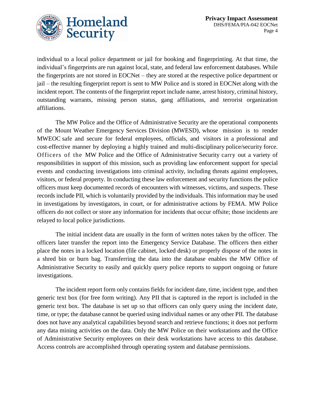

individual to a local police department or jail for booking and fingerprinting. At that time, the individual's fingerprints are run against local, state, and federal law enforcement databases. While the fingerprints are not stored in EOCNet – they are stored at the respective police department or jail – the resulting fingerprint report is sent to MW Police and is stored in EOCNet along with the incident report. The contents of the fingerprint report include name, arrest history, criminal history, outstanding warrants, missing person status, gang affiliations, and terrorist organization affiliations.

The MW Police and the Office of Administrative Security are the operational components of the Mount Weather Emergency Services Division (MWESD), whose mission is to render MWEOC safe and secure for federal employees, officials, and visitors in a professional and cost-effective manner by deploying a highly trained and multi-disciplinary police/security force. Officers of the MW Police and the Office of Administrative Security carry out a variety of responsibilities in support of this mission, such as providing law enforcement support for special events and conducting investigations into criminal activity, including threats against employees, visitors, or federal property. In conducting these law enforcement and security functions the police officers must keep documented records of encounters with witnesses, victims, and suspects. These records include PII, which is voluntarily provided by the individuals. This information may be used in investigations by investigators, in court, or for administrative actions by FEMA. MW Police officers do not collect or store any information for incidents that occur offsite; those incidents are relayed to local police jurisdictions.

The initial incident data are usually in the form of written notes taken by the officer. The officers later transfer the report into the Emergency Service Database. The officers then either place the notes in a locked location (file cabinet, locked desk) or properly dispose of the notes in a shred bin or burn bag. Transferring the data into the database enables the MW Office of Administrative Security to easily and quickly query police reports to support ongoing or future investigations.

The incident report form only contains fields for incident date, time, incident type, and then generic text box (for free form writing). Any PII that is captured in the report is included in the generic text box. The database is set up so that officers can only query using the incident date, time, or type; the database cannot be queried using individual names or any other PII. The database does not have any analytical capabilities beyond search and retrieve functions; it does not perform any data mining activities on the data. Only the MW Police on their workstations and the Office of Administrative Security employees on their desk workstations have access to this database. Access controls are accomplished through operating system and database permissions.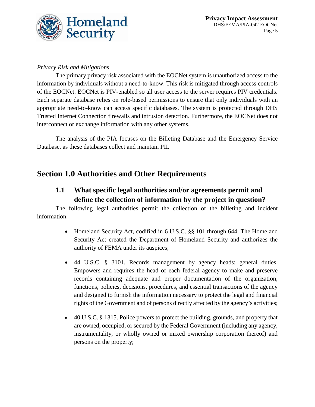

#### *Privacy Risk and Mitigations*

The primary privacy risk associated with the EOCNet system is unauthorized access to the information by individuals without a need-to-know. This risk is mitigated through access controls of the EOCNet. EOCNet is PIV-enabled so all user access to the server requires PIV credentials. Each separate database relies on role-based permissions to ensure that only individuals with an appropriate need-to-know can access specific databases. The system is protected through DHS Trusted Internet Connection firewalls and intrusion detection. Furthermore, the EOCNet does not interconnect or exchange information with any other systems.

The analysis of the PIA focuses on the Billeting Database and the Emergency Service Database, as these databases collect and maintain PII.

### **Section 1.0 Authorities and Other Requirements**

### **1.1 What specific legal authorities and/or agreements permit and define the collection of information by the project in question?**

The following legal authorities permit the collection of the billeting and incident information:

- Homeland Security Act, codified in 6 U.S.C. §§ 101 through 644. The Homeland Security Act created the Department of Homeland Security and authorizes the authority of FEMA under its auspices;
- 44 U.S.C. § 3101. Records management by agency heads; general duties. Empowers and requires the head of each federal agency to make and preserve records containing adequate and proper documentation of the organization, functions, policies, decisions, procedures, and essential transactions of the agency and designed to furnish the information necessary to protect the legal and financial rights of the Government and of persons directly affected by the agency's activities;
- 40 U.S.C. § 1315. Police powers to protect the building, grounds, and property that are owned, occupied, or secured by the Federal Government (including any agency, instrumentality, or wholly owned or mixed ownership corporation thereof) and persons on the property;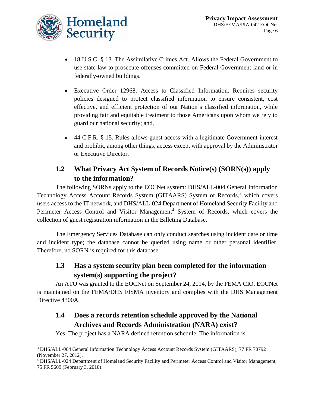

 $\overline{a}$ 

- 18 U.S.C. § 13. The Assimilative Crimes Act. Allows the Federal Government to use state law to prosecute offenses committed on Federal Government land or in federally-owned buildings.
- Executive Order 12968. Access to Classified Information. Requires security policies designed to protect classified information to ensure consistent, cost effective, and efficient protection of our Nation's classified information, while providing fair and equitable treatment to those Americans upon whom we rely to guard our national security; and,
- 44 C.F.R. § 15. Rules allows guest access with a legitimate Government interest and prohibit, among other things, access except with approval by the Administrator or Executive Director.

### **1.2 What Privacy Act System of Records Notice(s) (SORN(s)) apply to the information?**

The following SORNs apply to the EOCNet system: DHS/ALL-004 General Information Technology Access Account Records System (GITAARS) System of Records, <sup>3</sup> which covers users access to the IT network, and DHS/ALL-024 Department of Homeland Security Facility and Perimeter Access Control and Visitor Management<sup>4</sup> System of Records, which covers the collection of guest registration information in the Billeting Database.

The Emergency Services Database can only conduct searches using incident date or time and incident type; the database cannot be queried using name or other personal identifier. Therefore, no SORN is required for this database.

### **1.3 Has a system security plan been completed for the information system(s) supporting the project?**

An ATO was granted to the EOCNet on September 24, 2014, by the FEMA CIO. EOCNet is maintained on the FEMA/DHS FISMA inventory and complies with the DHS Management Directive 4300A.

### **1.4 Does a records retention schedule approved by the National Archives and Records Administration (NARA) exist?**

Yes. The project has a NARA defined retention schedule. The information is

<sup>3</sup> DHS/ALL-004 General Information Technology Access Account Records System (GITAARS), 77 FR 70792 (November 27, 2012).

<sup>4</sup> DHS/ALL-024 Department of Homeland Security Facility and Perimeter Access Control and Visitor Management, 75 FR 5609 (February 3, 2010).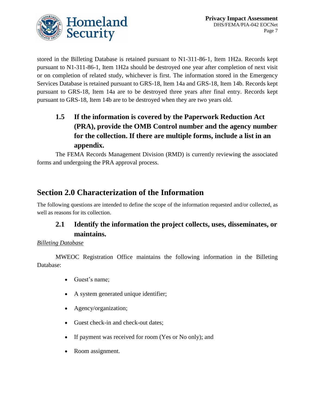

stored in the Billeting Database is retained pursuant to N1-311-86-1, Item 1H2a. Records kept pursuant to N1-311-86-1, Item 1H2a should be destroyed one year after completion of next visit or on completion of related study, whichever is first. The information stored in the Emergency Services Database is retained pursuant to GRS-18, Item 14a and GRS-18, Item 14b. Records kept pursuant to GRS-18, Item 14a are to be destroyed three years after final entry. Records kept pursuant to GRS-18, Item 14b are to be destroyed when they are two years old.

### **1.5 If the information is covered by the Paperwork Reduction Act (PRA), provide the OMB Control number and the agency number for the collection. If there are multiple forms, include a list in an appendix.**

The FEMA Records Management Division (RMD) is currently reviewing the associated forms and undergoing the PRA approval process.

### **Section 2.0 Characterization of the Information**

The following questions are intended to define the scope of the information requested and/or collected, as well as reasons for its collection.

### **2.1 Identify the information the project collects, uses, disseminates, or maintains.**

#### *Billeting Database*

MWEOC Registration Office maintains the following information in the Billeting Database:

- Guest's name;
- A system generated unique identifier;
- Agency/organization;
- Guest check-in and check-out dates;
- If payment was received for room (Yes or No only); and
- Room assignment.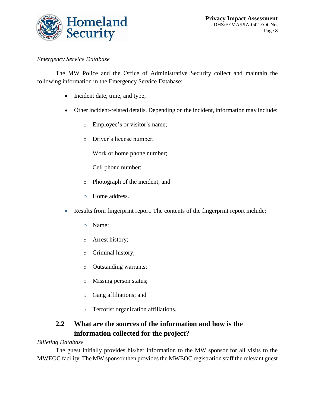

#### *Emergency Service Database*

The MW Police and the Office of Administrative Security collect and maintain the following information in the Emergency Service Database:

- Incident date, time, and type;
- Other incident-related details. Depending on the incident, information may include:
	- o Employee's or visitor's name;
	- o Driver's license number;
	- o Work or home phone number;
	- o Cell phone number;
	- o Photograph of the incident; and
	- o Home address.
- Results from fingerprint report. The contents of the fingerprint report include:
	- o Name;
	- o Arrest history;
	- o Criminal history;
	- o Outstanding warrants;
	- o Missing person status;
	- o Gang affiliations; and
	- o Terrorist organization affiliations.

### **2.2 What are the sources of the information and how is the information collected for the project?**

#### *Billeting Database*

The guest initially provides his/her information to the MW sponsor for all visits to the MWEOC facility. The MW sponsor then provides the MWEOC registration staff the relevant guest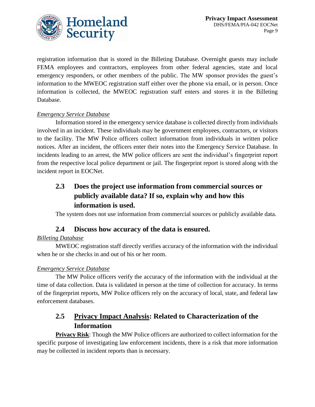

registration information that is stored in the Billeting Database. Overnight guests may include FEMA employees and contractors, employees from other federal agencies, state and local emergency responders, or other members of the public. The MW sponsor provides the guest's information to the MWEOC registration staff either over the phone via email, or in person. Once information is collected, the MWEOC registration staff enters and stores it in the Billeting Database.

#### *Emergency Service Database*

Information stored in the emergency service database is collected directly from individuals involved in an incident. These individuals may be government employees, contractors, or visitors to the facility. The MW Police officers collect information from individuals in written police notices. After an incident, the officers enter their notes into the Emergency Service Database. In incidents leading to an arrest, the MW police officers are sent the individual's fingerprint report from the respective local police department or jail. The fingerprint report is stored along with the incident report in EOCNet.

### **2.3 Does the project use information from commercial sources or publicly available data? If so, explain why and how this information is used.**

The system does not use information from commercial sources or publicly available data.

#### **2.4 Discuss how accuracy of the data is ensured.**

#### *Billeting Database*

MWEOC registration staff directly verifies accuracy of the information with the individual when he or she checks in and out of his or her room.

#### *Emergency Service Database*

The MW Police officers verify the accuracy of the information with the individual at the time of data collection. Data is validated in person at the time of collection for accuracy. In terms of the fingerprint reports, MW Police officers rely on the accuracy of local, state, and federal law enforcement databases.

### **2.5 Privacy Impact Analysis: Related to Characterization of the Information**

**Privacy Risk**: Though the MW Police officers are authorized to collect information for the specific purpose of investigating law enforcement incidents, there is a risk that more information may be collected in incident reports than is necessary.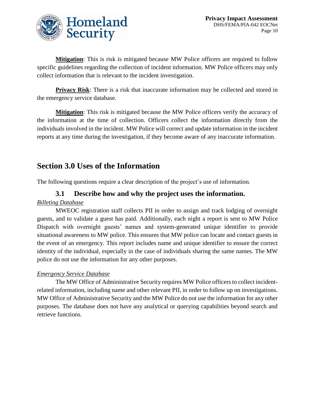

**Mitigation**: This is risk is mitigated because MW Police officers are required to follow specific guidelines regarding the collection of incident information. MW Police officers may only collect information that is relevant to the incident investigation.

**Privacy Risk:** There is a risk that inaccurate information may be collected and stored in the emergency service database.

**Mitigation**: This risk is mitigated because the MW Police officers verify the accuracy of the information at the time of collection. Officers collect the information directly from the individuals involved in the incident. MW Police will correct and update information in the incident reports at any time during the investigation, if they become aware of any inaccurate information.

### **Section 3.0 Uses of the Information**

The following questions require a clear description of the project's use of information.

#### **3.1 Describe how and why the project uses the information.**

#### *Billeting Database*

MWEOC registration staff collects PII in order to assign and track lodging of overnight guests, and to validate a guest has paid. Additionally, each night a report is sent to MW Police Dispatch with overnight guests' names and system-generated unique identifier to provide situational awareness to MW police. This ensures that MW police can locate and contact guests in the event of an emergency. This report includes name and unique identifier to ensure the correct identity of the individual, especially in the case of individuals sharing the same names. The MW police do not use the information for any other purposes.

#### *Emergency Service Database*

The MW Office of Administrative Security requires MW Police officers to collect incidentrelated information, including name and other relevant PII, in order to follow up on investigations. MW Office of Administrative Security and the MW Police do not use the information for any other purposes. The database does not have any analytical or querying capabilities beyond search and retrieve functions.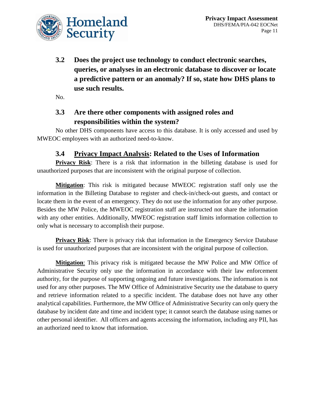

**3.2 Does the project use technology to conduct electronic searches, queries, or analyses in an electronic database to discover or locate a predictive pattern or an anomaly? If so, state how DHS plans to use such results.**

No.

### **3.3 Are there other components with assigned roles and responsibilities within the system?**

No other DHS components have access to this database. It is only accessed and used by MWEOC employees with an authorized need-to-know.

### **3.4 Privacy Impact Analysis: Related to the Uses of Information**

**Privacy Risk**: There is a risk that information in the billeting database is used for unauthorized purposes that are inconsistent with the original purpose of collection.

**Mitigation**: This risk is mitigated because MWEOC registration staff only use the information in the Billeting Database to register and check-in/check-out guests, and contact or locate them in the event of an emergency. They do not use the information for any other purpose. Besides the MW Police, the MWEOC registration staff are instructed not share the information with any other entities. Additionally, MWEOC registration staff limits information collection to only what is necessary to accomplish their purpose.

**Privacy Risk:** There is privacy risk that information in the Emergency Service Database is used for unauthorized purposes that are inconsistent with the original purpose of collection.

**Mitigation**: This privacy risk is mitigated because the MW Police and MW Office of Administrative Security only use the information in accordance with their law enforcement authority, for the purpose of supporting ongoing and future investigations. The information is not used for any other purposes. The MW Office of Administrative Security use the database to query and retrieve information related to a specific incident. The database does not have any other analytical capabilities. Furthermore, the MW Office of Administrative Security can only query the database by incident date and time and incident type; it cannot search the database using names or other personal identifier. All officers and agents accessing the information, including any PII, has an authorized need to know that information.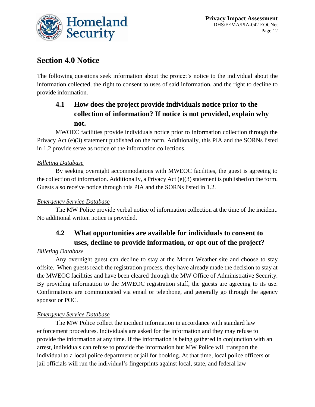

### **Section 4.0 Notice**

The following questions seek information about the project's notice to the individual about the information collected, the right to consent to uses of said information, and the right to decline to provide information.

### **4.1 How does the project provide individuals notice prior to the collection of information? If notice is not provided, explain why not.**

MWOEC facilities provide individuals notice prior to information collection through the Privacy Act (e)(3) statement published on the form. Additionally, this PIA and the SORNs listed in 1.2 provide serve as notice of the information collections.

#### *Billeting Database*

By seeking overnight accommodations with MWEOC facilities, the guest is agreeing to the collection of information. Additionally, a Privacy Act (e)(3) statement is published on the form. Guests also receive notice through this PIA and the SORNs listed in 1.2.

#### *Emergency Service Database*

The MW Police provide verbal notice of information collection at the time of the incident. No additional written notice is provided.

### **4.2 What opportunities are available for individuals to consent to uses, decline to provide information, or opt out of the project?**

#### *Billeting Database*

Any overnight guest can decline to stay at the Mount Weather site and choose to stay offsite. When guests reach the registration process, they have already made the decision to stay at the MWEOC facilities and have been cleared through the MW Office of Administrative Security. By providing information to the MWEOC registration staff, the guests are agreeing to its use. Confirmations are communicated via email or telephone, and generally go through the agency sponsor or POC.

#### *Emergency Service Database*

The MW Police collect the incident information in accordance with standard law enforcement procedures. Individuals are asked for the information and they may refuse to provide the information at any time. If the information is being gathered in conjunction with an arrest, individuals can refuse to provide the information but MW Police will transport the individual to a local police department or jail for booking. At that time, local police officers or jail officials will run the individual's fingerprints against local, state, and federal law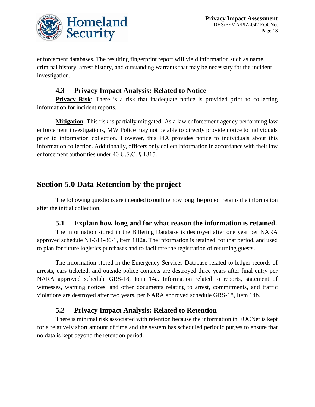

enforcement databases. The resulting fingerprint report will yield information such as name, criminal history, arrest history, and outstanding warrants that may be necessary for the incident investigation.

#### **4.3 Privacy Impact Analysis: Related to Notice**

**Privacy Risk:** There is a risk that inadequate notice is provided prior to collecting information for incident reports.

**Mitigation**: This risk is partially mitigated. As a law enforcement agency performing law enforcement investigations, MW Police may not be able to directly provide notice to individuals prior to information collection. However, this PIA provides notice to individuals about this information collection. Additionally, officers only collect information in accordance with their law enforcement authorities under 40 U.S.C. § 1315.

### **Section 5.0 Data Retention by the project**

The following questions are intended to outline how long the project retains the information after the initial collection.

#### **5.1 Explain how long and for what reason the information is retained.**

The information stored in the Billeting Database is destroyed after one year per NARA approved schedule N1-311-86-1, Item 1H2a. The information is retained, for that period, and used to plan for future logistics purchases and to facilitate the registration of returning guests.

The information stored in the Emergency Services Database related to ledger records of arrests, cars ticketed, and outside police contacts are destroyed three years after final entry per NARA approved schedule GRS-18, Item 14a. Information related to reports, statement of witnesses, warning notices, and other documents relating to arrest, commitments, and traffic violations are destroyed after two years, per NARA approved schedule GRS-18, Item 14b.

### **5.2 Privacy Impact Analysis: Related to Retention**

There is minimal risk associated with retention because the information in EOCNet is kept for a relatively short amount of time and the system has scheduled periodic purges to ensure that no data is kept beyond the retention period.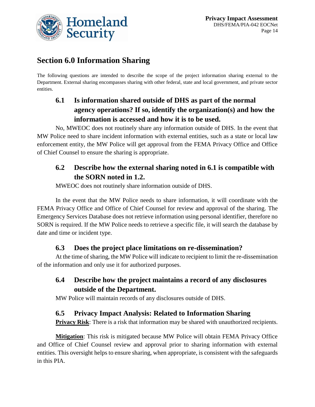

### **Section 6.0 Information Sharing**

The following questions are intended to describe the scope of the project information sharing external to the Department. External sharing encompasses sharing with other federal, state and local government, and private sector entities.

### **6.1 Is information shared outside of DHS as part of the normal agency operations? If so, identify the organization(s) and how the information is accessed and how it is to be used.**

No, MWEOC does not routinely share any information outside of DHS. In the event that MW Police need to share incident information with external entities, such as a state or local law enforcement entity, the MW Police will get approval from the FEMA Privacy Office and Office of Chief Counsel to ensure the sharing is appropriate.

### **6.2 Describe how the external sharing noted in 6.1 is compatible with the SORN noted in 1.2.**

MWEOC does not routinely share information outside of DHS.

In the event that the MW Police needs to share information, it will coordinate with the FEMA Privacy Office and Office of Chief Counsel for review and approval of the sharing. The Emergency Services Database does not retrieve information using personal identifier, therefore no SORN is required. If the MW Police needs to retrieve a specific file, it will search the database by date and time or incident type.

### **6.3 Does the project place limitations on re-dissemination?**

At the time of sharing, the MW Police will indicate to recipient to limit the re-dissemination of the information and only use it for authorized purposes.

### **6.4 Describe how the project maintains a record of any disclosures outside of the Department.**

MW Police will maintain records of any disclosures outside of DHS.

### **6.5 Privacy Impact Analysis: Related to Information Sharing**

**Privacy Risk:** There is a risk that information may be shared with unauthorized recipients.

**Mitigation**: This risk is mitigated because MW Police will obtain FEMA Privacy Office and Office of Chief Counsel review and approval prior to sharing information with external entities. This oversight helps to ensure sharing, when appropriate, is consistent with the safeguards in this PIA.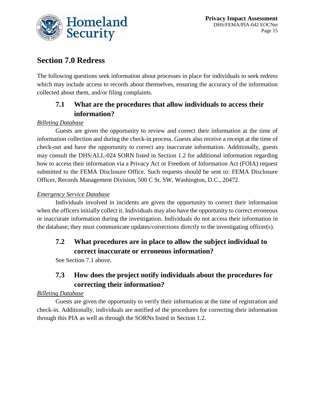

### **Section 7.0 Redress**

The following questions seek information about processes in place for individuals to seek redress which may include access to records about themselves, ensuring the accuracy of the information collected about them, and/or filing complaints.

### **7.1 What are the procedures that allow individuals to access their information?**

#### *Billeting Database*

Guests are given the opportunity to review and correct their information at the time of information collection and during the check-in process. Guests also receive a receipt at the time of check-out and have the opportunity to correct any inaccurate information. Additionally, guests may consult the DHS/ALL-024 SORN listed in Section 1.2 for additional information regarding how to access their information via a Privacy Act or Freedom of Information Act (FOIA) request submitted to the FEMA Disclosure Office. Such requests should be sent to: FEMA Disclosure Officer, Records Management Division, 500 C St. SW, Washington, D.C., 20472.

#### *Emergency Service Database*

Individuals involved in incidents are given the opportunity to correct their information when the officers initially collect it. Individuals may also have the opportunity to correct erroneous or inaccurate information during the investigation. Individuals do not access their information in the database; they must communicate updates/corrections directly to the investigating officer(s).

### **7.2 What procedures are in place to allow the subject individual to correct inaccurate or erroneous information?**

See Section 7.1 above.

### **7.3 How does the project notify individuals about the procedures for correcting their information?**

#### *Billeting Database*

Guests are given the opportunity to verify their information at the time of registration and check-in. Additionally, individuals are notified of the procedures for correcting their information through this PIA as well as through the SORNs listed in Section 1.2.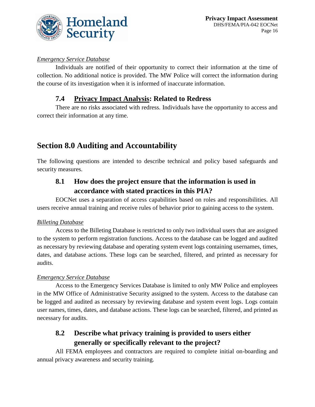

#### *Emergency Service Database*

Individuals are notified of their opportunity to correct their information at the time of collection. No additional notice is provided. The MW Police will correct the information during the course of its investigation when it is informed of inaccurate information.

### **7.4 Privacy Impact Analysis: Related to Redress**

There are no risks associated with redress. Individuals have the opportunity to access and correct their information at any time.

### **Section 8.0 Auditing and Accountability**

The following questions are intended to describe technical and policy based safeguards and security measures.

### **8.1 How does the project ensure that the information is used in accordance with stated practices in this PIA?**

EOCNet uses a separation of access capabilities based on roles and responsibilities. All users receive annual training and receive rules of behavior prior to gaining access to the system.

#### *Billeting Database*

Access to the Billeting Database is restricted to only two individual users that are assigned to the system to perform registration functions. Access to the database can be logged and audited as necessary by reviewing database and operating system event logs containing usernames, times, dates, and database actions. These logs can be searched, filtered, and printed as necessary for audits.

#### *Emergency Service Database*

Access to the Emergency Services Database is limited to only MW Police and employees in the MW Office of Administrative Security assigned to the system. Access to the database can be logged and audited as necessary by reviewing database and system event logs. Logs contain user names, times, dates, and database actions. These logs can be searched, filtered, and printed as necessary for audits.

### **8.2 Describe what privacy training is provided to users either generally or specifically relevant to the project?**

All FEMA employees and contractors are required to complete initial on-boarding and annual privacy awareness and security training.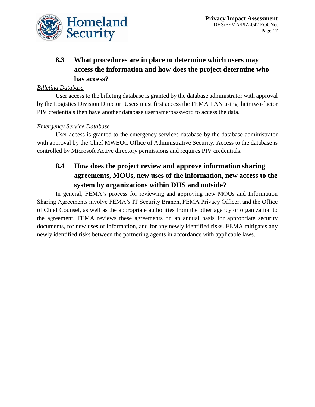

### **8.3 What procedures are in place to determine which users may access the information and how does the project determine who has access?**

#### *Billeting Database*

User access to the billeting database is granted by the database administrator with approval by the Logistics Division Director. Users must first access the FEMA LAN using their two-factor PIV credentials then have another database username/password to access the data.

#### *Emergency Service Database*

User access is granted to the emergency services database by the database administrator with approval by the Chief MWEOC Office of Administrative Security. Access to the database is controlled by Microsoft Active directory permissions and requires PIV credentials.

### **8.4 How does the project review and approve information sharing agreements, MOUs, new uses of the information, new access to the system by organizations within DHS and outside?**

In general, FEMA's process for reviewing and approving new MOUs and Information Sharing Agreements involve FEMA's IT Security Branch, FEMA Privacy Officer, and the Office of Chief Counsel, as well as the appropriate authorities from the other agency or organization to the agreement. FEMA reviews these agreements on an annual basis for appropriate security documents, for new uses of information, and for any newly identified risks. FEMA mitigates any newly identified risks between the partnering agents in accordance with applicable laws.